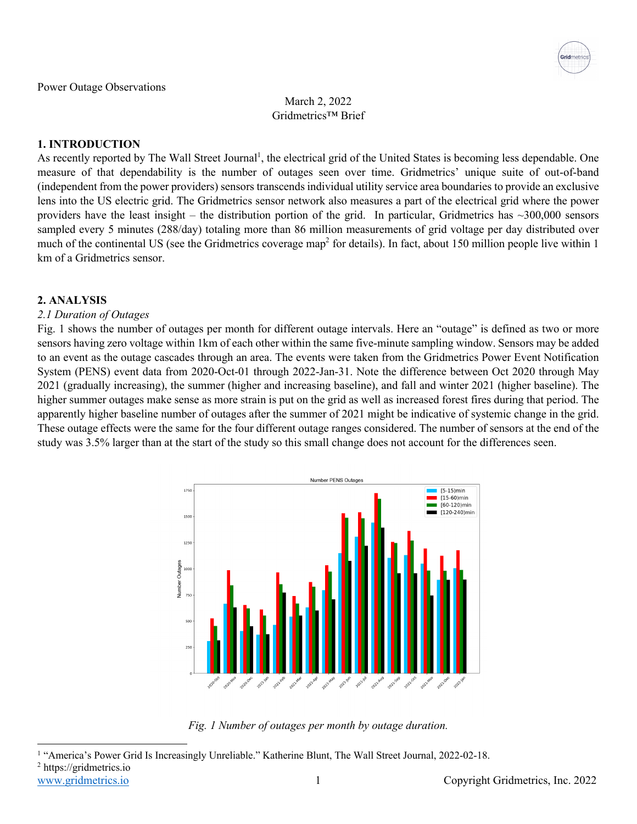March 2, 2022 Gridmetrics™ Brief

# **1. INTRODUCTION**

As recently reported by The Wall Street Journal<sup>1</sup>, the electrical grid of the United States is becoming less dependable. One measure of that dependability is the number of outages seen over time. Gridmetrics' unique suite of out-of-band (independent from the power providers) sensors transcends individual utility service area boundaries to provide an exclusive lens into the US electric grid. The Gridmetrics sensor network also measures a part of the electrical grid where the power providers have the least insight – the distribution portion of the grid. In particular, Gridmetrics has  $\sim$ 300,000 sensors sampled every 5 minutes (288/day) totaling more than 86 million measurements of grid voltage per day distributed over much of the continental US (see the Gridmetrics coverage map<sup>2</sup> for details). In fact, about 150 million people live within 1 km of a Gridmetrics sensor.

#### **2. ANALYSIS**

#### *2.1 Duration of Outages*

Fig. 1 shows the number of outages per month for different outage intervals. Here an "outage" is defined as two or more sensors having zero voltage within 1km of each other within the same five-minute sampling window. Sensors may be added to an event as the outage cascades through an area. The events were taken from the Gridmetrics Power Event Notification System (PENS) event data from 2020-Oct-01 through 2022-Jan-31. Note the difference between Oct 2020 through May 2021 (gradually increasing), the summer (higher and increasing baseline), and fall and winter 2021 (higher baseline). The higher summer outages make sense as more strain is put on the grid as well as increased forest fires during that period. The apparently higher baseline number of outages after the summer of 2021 might be indicative of systemic change in the grid. These outage effects were the same for the four different outage ranges considered. The number of sensors at the end of the study was 3.5% larger than at the start of the study so this small change does not account for the differences seen.



*Fig. 1 Number of outages per month by outage duration.*

www.gridmetrics.io 1 Copyright Gridmetrics, Inc. 2022 <sup>1</sup> "America's Power Grid Is Increasingly Unreliable." Katherine Blunt, The Wall Street Journal, 2022-02-18. <sup>2</sup> https://gridmetrics.io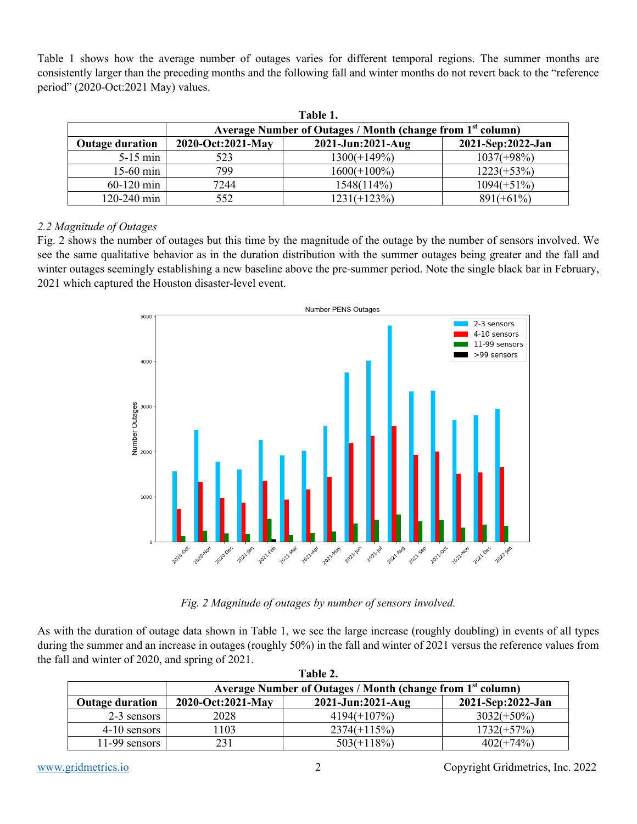Table 1 shows how the average number of outages varies for different temporal regions. The summer months are consistently larger than the preceding months and the following fall and winter months do not revert back to the "reference period" (2020-Oct:2021 May) values.

| Table 1.               |                                                                        |                   |                   |  |  |
|------------------------|------------------------------------------------------------------------|-------------------|-------------------|--|--|
|                        | Average Number of Outages / Month (change from 1 <sup>st</sup> column) |                   |                   |  |  |
| <b>Outage duration</b> | 2020-Oct:2021-May                                                      | 2021-Jun:2021-Aug | 2021-Sep:2022-Jan |  |  |
| $5-15$ min             | 523                                                                    | $1300(+149%)$     | $1037(+98\%)$     |  |  |
| $15-60$ min            | 799                                                                    | $1600(+100\%)$    | $1223(+53%)$      |  |  |
| $60-120$ min           | 7244                                                                   | 1548(114%)        | $1094(+51%)$      |  |  |
| 120-240 min            | 552                                                                    | $1231(+123%)$     | $891(+61\%)$      |  |  |

# *2.2 Magnitude of Outages*

Fig. 2 shows the number of outages but this time by the magnitude of the outage by the number of sensors involved. We see the same qualitative behavior as in the duration distribution with the summer outages being greater and the fall and winter outages seemingly establishing a new baseline above the pre-summer period. Note the single black bar in February, 2021 which captured the Houston disaster-level event.



*Fig. 2 Magnitude of outages by number of sensors involved.*

As with the duration of outage data shown in Table 1, we see the large increase (roughly doubling) in events of all types during the summer and an increase in outages (roughly 50%) in the fall and winter of 2021 versus the reference values from the fall and winter of 2020, and spring of 2021.

| Table 2.               |                                                                        |                   |                   |  |  |
|------------------------|------------------------------------------------------------------------|-------------------|-------------------|--|--|
|                        | Average Number of Outages / Month (change from 1 <sup>st</sup> column) |                   |                   |  |  |
| <b>Outage duration</b> | 2020-Oct:2021-May                                                      | 2021-Jun:2021-Aug | 2021-Sep:2022-Jan |  |  |
| 2-3 sensors            | 2028                                                                   | $4194(+107%)$     | $3032(+50\%)$     |  |  |
| 4-10 sensors           | l 103                                                                  | $2374(+115%)$     | $1732(+57%)$      |  |  |
| 11-99 sensors          | 231                                                                    | $503(+118%)$      | $402(+74%)$       |  |  |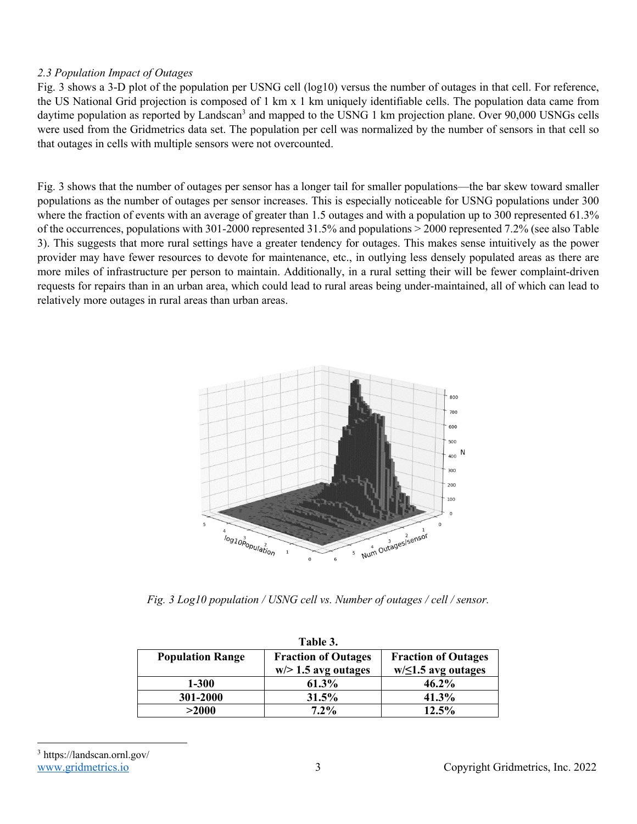# *2.3 Population Impact of Outages*

Fig. 3 shows a 3-D plot of the population per USNG cell (log10) versus the number of outages in that cell. For reference, the US National Grid projection is composed of 1 km x 1 km uniquely identifiable cells. The population data came from daytime population as reported by Landscan<sup>3</sup> and mapped to the USNG 1 km projection plane. Over 90,000 USNGs cells were used from the Gridmetrics data set. The population per cell was normalized by the number of sensors in that cell so that outages in cells with multiple sensors were not overcounted.

Fig. 3 shows that the number of outages per sensor has a longer tail for smaller populations—the bar skew toward smaller populations as the number of outages per sensor increases. This is especially noticeable for USNG populations under 300 where the fraction of events with an average of greater than 1.5 outages and with a population up to 300 represented 61.3% of the occurrences, populations with 301-2000 represented 31.5% and populations > 2000 represented 7.2% (see also Table 3). This suggests that more rural settings have a greater tendency for outages. This makes sense intuitively as the power provider may have fewer resources to devote for maintenance, etc., in outlying less densely populated areas as there are more miles of infrastructure per person to maintain. Additionally, in a rural setting their will be fewer complaint-driven requests for repairs than in an urban area, which could lead to rural areas being under-maintained, all of which can lead to relatively more outages in rural areas than urban areas.



*Fig. 3 Log10 population / USNG cell vs. Number of outages / cell / sensor.*

| Table 3.                |                            |                            |  |  |  |
|-------------------------|----------------------------|----------------------------|--|--|--|
| <b>Population Range</b> | <b>Fraction of Outages</b> | <b>Fraction of Outages</b> |  |  |  |
|                         | $w$ > 1.5 avg outages      | $w/\leq 1.5$ avg outages   |  |  |  |
| 1-300                   | 61.3%                      | 46.2%                      |  |  |  |
| 301-2000                | 31.5%                      | 41.3%                      |  |  |  |
| >2000                   | $7.2\%$                    | 12.5%                      |  |  |  |

<sup>3</sup> https://landscan.ornl.gov/